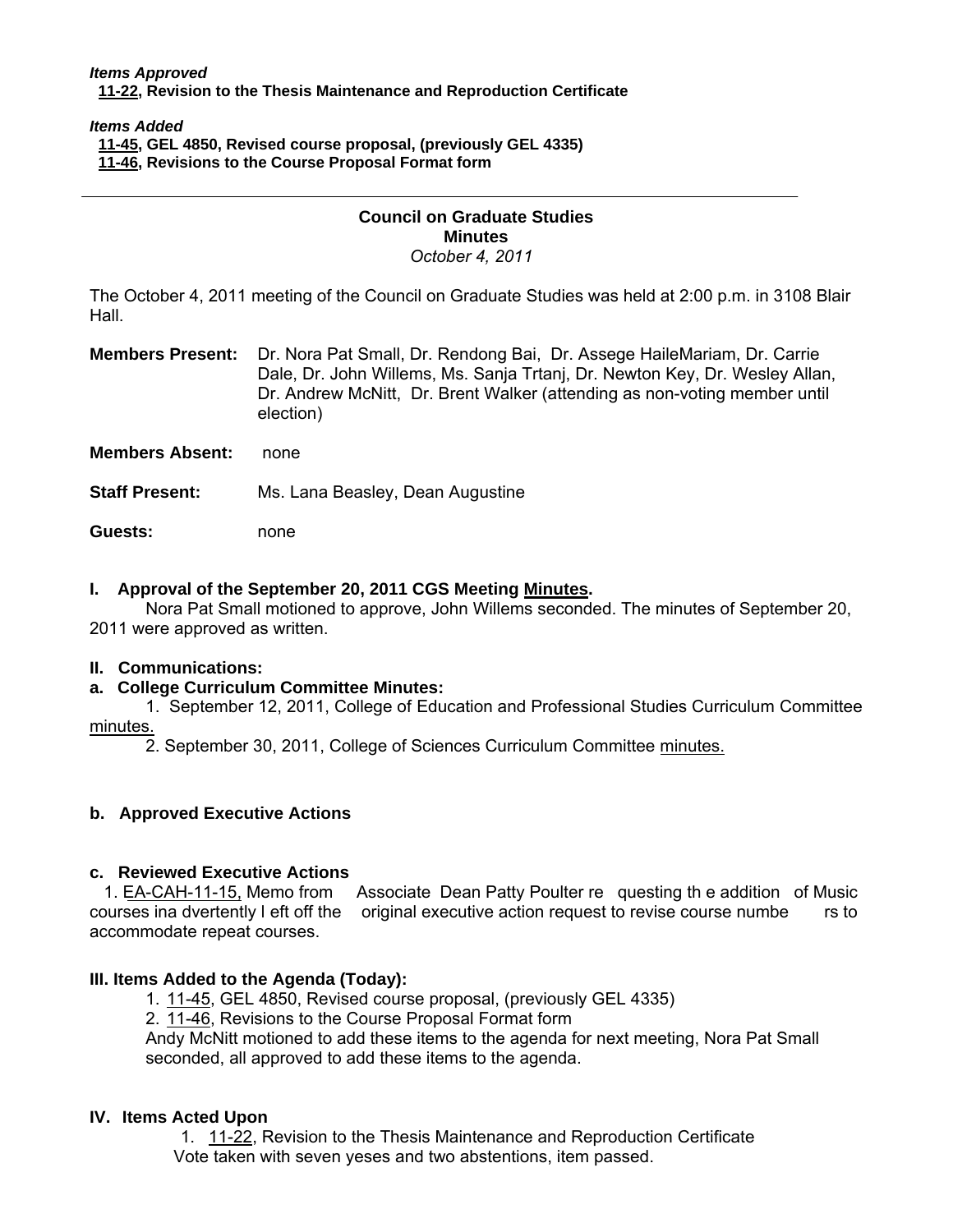#### *Items Approved*   **[11-22, Re](http://castle.eiu.edu/~eiucgs/currentagendaitems/agenda11-22.pdf)vision to the Thesis Maintenance and Reproduction Certificate**

#### *Items Added*

 **[11-45, G](http://castle.eiu.edu/~eiucgs/currentagendaitems/agenda11-45.pdf)EL 4850, Revised course proposal, (previously GEL 4335)** 

 **[11-46, R](http://castle.eiu.edu/~eiucgs/currentagendaitems/agenda11-46.pdf)evisions to the Course Proposal Format form** 

#### **Council on Graduate Studies Minutes**  *October 4, 2011*

The October 4, 2011 meeting of the Council on Graduate Studies was held at 2:00 p.m. in 3108 Blair Hall.

**Members Present:** Dr. Nora Pat Small, Dr. Rendong Bai, Dr. Assege HaileMariam, Dr. Carrie Dale, Dr. John Willems, Ms. Sanja Trtanj, Dr. Newton Key, Dr. Wesley Allan, Dr. Andrew McNitt, Dr. Brent Walker (attending as non-voting member until election)

**Members Absent:** none

**Staff Present:** Ms. Lana Beasley, Dean Augustine

**Guests:** none

## **I. Approval of the September 20, 2011 CGS Meet[ing Minutes.](http://castle.eiu.edu/eiucgs/currentminutes/Minutes9-20-11.pdf)**

 Nora Pat Small motioned to approve, John Willems seconded. The minutes of September 20, 2011 were approved as written.

### **II. Communications:**

# **a. College Curriculum Committee Minutes:**

1. September 12, 2011, College of Education and Professional Studies Curriculum Committee [minutes.](http://castle.eiu.edu/~eiucgs/currentagendaitems/CEPSMin9-12-11.pdf) 

2. September 30, 2011, College of Sciences Curriculum Committ[ee minutes.](http://castle.eiu.edu/~eiucgs/currentagendaitems/COSMin9-30-11.pdf) 

### **b. Approved Executive Actions**

# **c. Reviewed Executive Actions**

[1. EA-CAH-11-15, Mem](http://castle.eiu.edu/~eiucgs/exec-actions/EA-CAH-11-15.pdf)o from Associate Dean Patty Poulter re questing th e addition of Music courses ina dvertently l eft off the original executive action request to revise course numbe rs to accommodate repeat courses.

### **III. Items Added to the Agenda (Today):**

- [1. 11-45, G](http://castle.eiu.edu/~eiucgs/currentagendaitems/agenda11-45.pdf)EL 4850, Revised course proposal, (previously GEL 4335)
- [2. 11-46, Re](http://castle.eiu.edu/~eiucgs/currentagendaitems/agenda11-46.pdf)visions to the Course Proposal Format form

Andy McNitt motioned to add these items to the agenda for next meeting, Nora Pat Small seconded, all approved to add these items to the agenda.

### **IV. Items Acted Upon**

1[. 11-22, Re](http://castle.eiu.edu/~eiucgs/currentagendaitems/agenda11-22.pdf)vision to the Thesis Maintenance and Reproduction Certificate Vote taken with seven yeses and two abstentions, item passed.